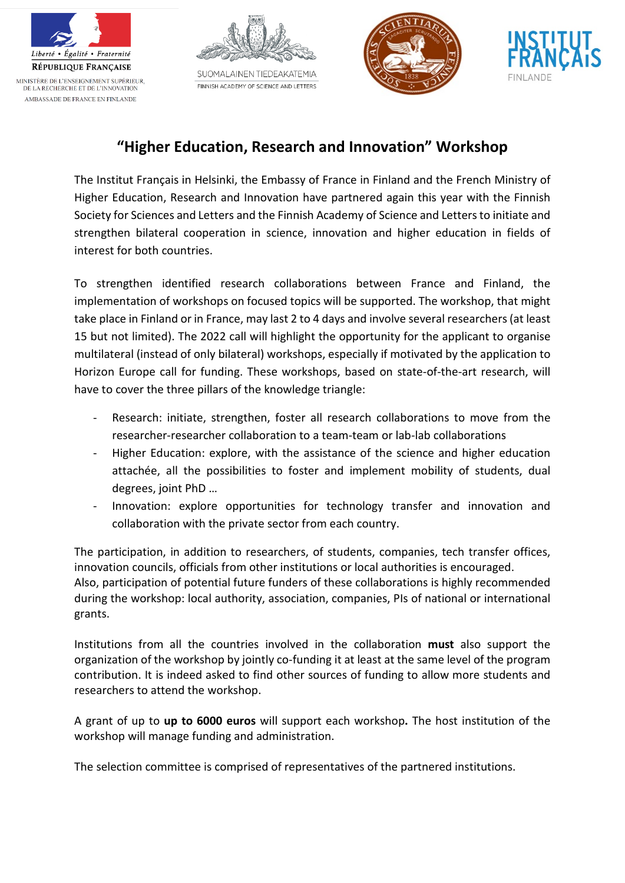







## **"Higher Education, Research and Innovation" Workshop**

The Institut Français in Helsinki, the Embassy of France in Finland and the French Ministry of Higher Education, Research and Innovation have partnered again this year with the Finnish Society for Sciences and Letters and the Finnish Academy of Science and Letters to initiate and strengthen bilateral cooperation in science, innovation and higher education in fields of interest for both countries.

To strengthen identified research collaborations between France and Finland, the implementation of workshops on focused topics will be supported. The workshop, that might take place in Finland or in France, may last 2 to 4 days and involve several researchers (at least 15 but not limited). The 2022 call will highlight the opportunity for the applicant to organise multilateral (instead of only bilateral) workshops, especially if motivated by the application to Horizon Europe call for funding. These workshops, based on state-of-the-art research, will have to cover the three pillars of the knowledge triangle:

- Research: initiate, strengthen, foster all research collaborations to move from the researcher-researcher collaboration to a team-team or lab-lab collaborations
- Higher Education: explore, with the assistance of the science and higher education attachée, all the possibilities to foster and implement mobility of students, dual degrees, joint PhD …
- Innovation: explore opportunities for technology transfer and innovation and collaboration with the private sector from each country.

The participation, in addition to researchers, of students, companies, tech transfer offices, innovation councils, officials from other institutions or local authorities is encouraged. Also, participation of potential future funders of these collaborations is highly recommended during the workshop: local authority, association, companies, PIs of national or international grants.

Institutions from all the countries involved in the collaboration **must** also support the organization of the workshop by jointly co-funding it at least at the same level of the program contribution. It is indeed asked to find other sources of funding to allow more students and researchers to attend the workshop.

A grant of up to **up to 6000 euros** will support each workshop**.** The host institution of the workshop will manage funding and administration.

The selection committee is comprised of representatives of the partnered institutions.